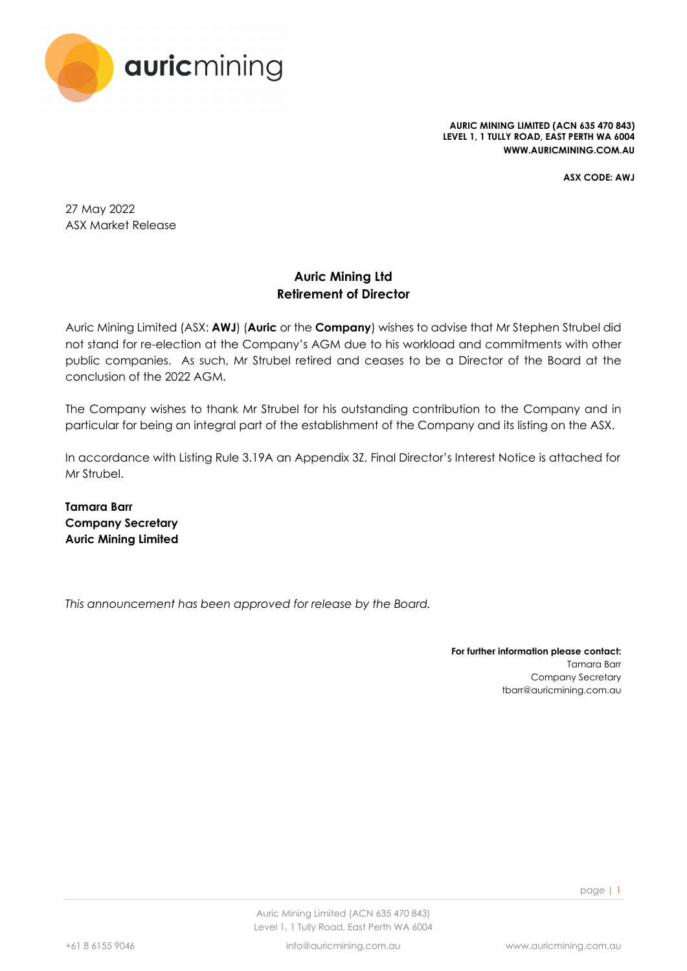

**AURIC MINING LIMITED (ACN 635 470 843) LEVEL 1, 1 TULLY ROAD, EAST PERTH WA 6004 WWW.AURICMINING.COM.AU**

**ASX CODE: AWJ**

27 May 2022 ASX Market Release

### **Auric Mining Ltd Retirement of Director**

Auric Mining Limited (ASX: **AWJ**) (**Auric** or the **Company**) wishes to advise that Mr Stephen Strubel did not stand for re-election at the Company's AGM due to his workload and commitments with other public companies. As such, Mr Strubel retired and ceases to be a Director of the Board at the conclusion of the 2022 AGM.

The Company wishes to thank Mr Strubel for his outstanding contribution to the Company and in particular for being an integral part of the establishment of the Company and its listing on the ASX.

In accordance with Listing Rule 3.19A an Appendix 3Z, Final Director's Interest Notice is attached for Mr Strubel.

**Tamara Barr Company Secretary Auric Mining Limited**

*This announcement has been approved for release by the Board.*

**For further information please contact:** Tamara Barr Company Secretary tbarr@auricmining.com.au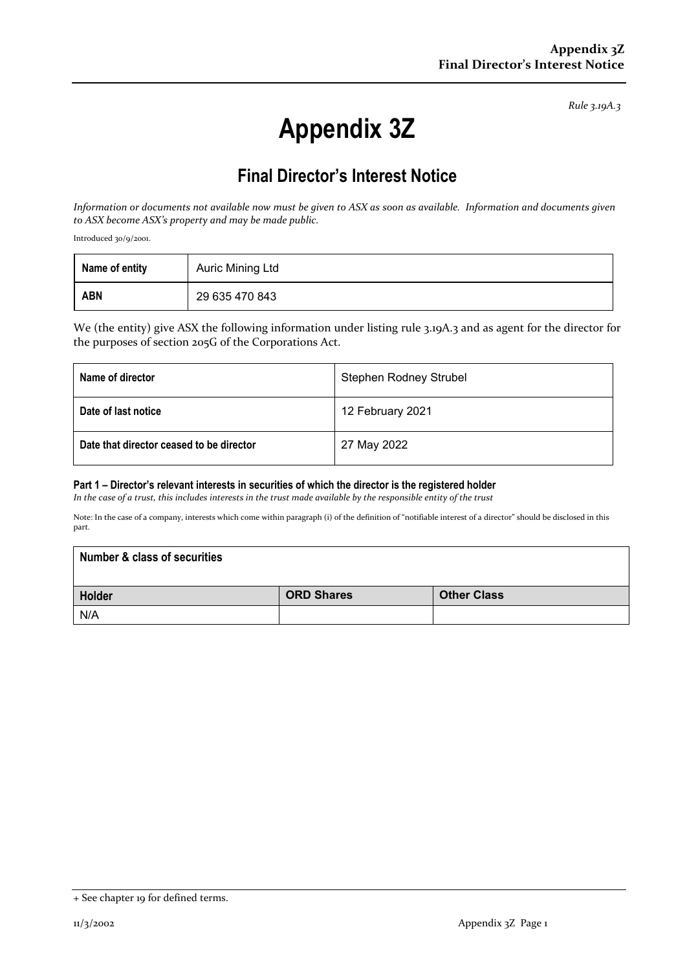*Rule 3.19A.3*

# **Appendix 3Z**

## **Final Director's Interest Notice**

*Information or documents not available now must be given to ASX as soon as available. Information and documents given to ASX become ASX's property and may be made public.*

Introduced 30/9/2001.

| Name of entity | Auric Mining Ltd |
|----------------|------------------|
| <b>ABN</b>     | 29 635 470 843   |

We (the entity) give ASX the following information under listing rule 3.19A.3 and as agent for the director for the purposes of section 205G of the Corporations Act.

| Name of director                         | <b>Stephen Rodney Strubel</b> |  |
|------------------------------------------|-------------------------------|--|
| Date of last notice                      | 12 February 2021              |  |
| Date that director ceased to be director | 27 May 2022                   |  |

#### **Part 1 – Director's relevant interests in securities of which the director is the registered holder**

*In the case of a trust, this includes interests in the trust made available by the responsible entity of the trust*

Note: In the case of a company, interests which come within paragraph (i) of the definition of "notifiable interest of a director" should be disclosed in this part.

| <b>Number &amp; class of securities</b> |                   |                    |  |  |
|-----------------------------------------|-------------------|--------------------|--|--|
| Holder                                  | <b>ORD Shares</b> | <b>Other Class</b> |  |  |
| N/A                                     |                   |                    |  |  |

<sup>+</sup> See chapter 19 for defined terms.